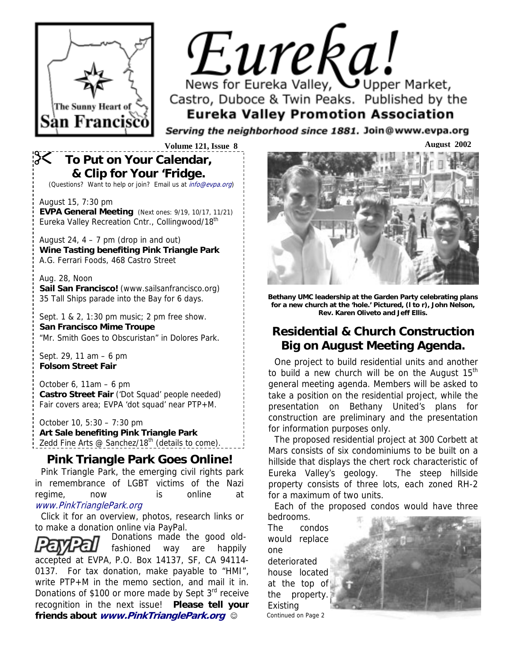

# Eureka! News for Eureka Valley, Upper Market,

Castro, Duboce & Twin Peaks. Published by the **Eureka Valley Promotion Association** 

Serving the neighborhood since 1881. Join@www.evpa.org

# ! **To Put on Your Calendar, & Clip for Your 'Fridge.**

(Questions? Want to help or join? Email us at info@evpa.org)

August 15, 7:30 pm **EVPA General Meeting** (Next ones: 9/19, 10/17, 11/21) Eureka Valley Recreation Cntr., Collingwood/18<sup>th</sup>

August 24,  $4 - 7$  pm (drop in and out) **Wine Tasting benefiting Pink Triangle Park**  A.G. Ferrari Foods, 468 Castro Street

#### Aug. 28, Noon **Sail San Francisco!** (www.sailsanfrancisco.org) 35 Tall Ships parade into the Bay for 6 days.

Sept. 1 & 2, 1:30 pm music; 2 pm free show. **San Francisco Mime Troupe**  "Mr. Smith Goes to Obscuristan" in Dolores Park.

Sept. 29, 11 am – 6 pm **Folsom Street Fair**

October 6, 11am – 6 pm **Castro Street Fair** ('Dot Squad' people needed) Fair covers area; EVPA 'dot squad' near PTP+M.

October 10, 5:30 – 7:30 pm **Art Sale benefiting Pink Triangle Park**  Zedd Fine Arts  $@$  Sanchez/18<sup>th</sup> (details to come).

## **Pink Triangle Park Goes Online!**

Pink Triangle Park, the emerging civil rights park in remembrance of LGBT victims of the Nazi regime, now is online at www.PinkTrianglePark.org

Click it for an overview, photos, research links or to make a donation online via PayPal.

Donations made the good oldfashioned way are happily accepted at EVPA, P.O. Box 14137, SF, CA 94114- 0137. For tax donation, make payable to "HMI", write PTP+M in the memo section, and mail it in. Donations of \$100 or more made by Sept 3<sup>rd</sup> receive recognition in the next issue! **Please tell your friends about www.PinkTrianglePark.org** ☺



**Bethany UMC leadership at the Garden Party celebrating plans for a new church at the 'hole.' Pictured, (l to r), John Nelson, Rev. Karen Oliveto and Jeff Ellis.** 

## **Residential & Church Construction Big on August Meeting Agenda.**

One project to build residential units and another to build a new church will be on the August  $15<sup>th</sup>$ general meeting agenda. Members will be asked to take a position on the residential project, while the presentation on Bethany United's plans for construction are preliminary and the presentation for information purposes only.

The proposed residential project at 300 Corbett at Mars consists of six condominiums to be built on a hillside that displays the chert rock characteristic of Eureka Valley's geology. The steep hillside property consists of three lots, each zoned RH-2 for a maximum of two units.

Each of the proposed condos would have three

bedrooms. The condos would replace one deteriorated house located at the top of the property. Existing Continued on Page 2

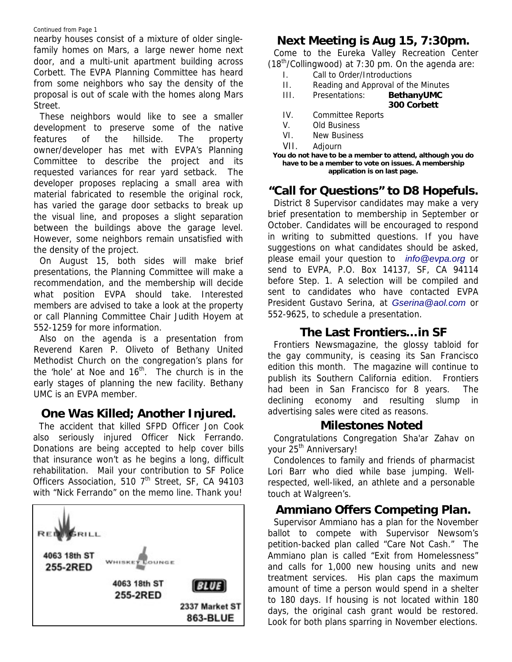#### Continued from Page 1

nearby houses consist of a mixture of older singlefamily homes on Mars, a large newer home next door, and a multi-unit apartment building across Corbett. The EVPA Planning Committee has heard from some neighbors who say the density of the proposal is out of scale with the homes along Mars Street.

These neighbors would like to see a smaller development to preserve some of the native features of the hillside. The property owner/developer has met with EVPA's Planning Committee to describe the project and its requested variances for rear yard setback. The developer proposes replacing a small area with material fabricated to resemble the original rock, has varied the garage door setbacks to break up the visual line, and proposes a slight separation between the buildings above the garage level. However, some neighbors remain unsatisfied with the density of the project.

On August 15, both sides will make brief presentations, the Planning Committee will make a recommendation, and the membership will decide what position EVPA should take. Interested members are advised to take a look at the property or call Planning Committee Chair Judith Hoyem at 552-1259 for more information.

Also on the agenda is a presentation from Reverend Karen P. Oliveto of Bethany United Methodist Church on the congregation's plans for the 'hole' at Noe and  $16<sup>th</sup>$ . The church is in the early stages of planning the new facility. Bethany UMC is an EVPA member.

#### **One Was Killed; Another Injured.**

The accident that killed SFPD Officer Jon Cook also seriously injured Officer Nick Ferrando. Donations are being accepted to help cover bills that insurance won't as he begins a long, difficult rehabilitation. Mail your contribution to SF Police Officers Association, 510 7<sup>th</sup> Street, SF, CA 94103 with "Nick Ferrando" on the memo line. Thank you!



## **Next Meeting is Aug 15, 7:30pm.**

Come to the Eureka Valley Recreation Center  $(18<sup>th</sup>/Collingwood)$  at 7:30 pm. On the agenda are:

- I. Call to Order/Introductions
- II. Reading and Approval of the Minutes

#### III. Presentations: **BethanyUMC 300 Corbett**

- IV. Committee Reports
- V. Old Business
- VI. New Business
- VII. Adjourn

**You do not have to be a member to attend, although you do have to be a member to vote on issues. A membership application is on last page.** 

## **"Call for Questions" to D8 Hopefuls.**

District 8 Supervisor candidates may make a very brief presentation to membership in September or October. Candidates will be encouraged to respond in writing to submitted questions. If you have suggestions on what candidates should be asked, please email your question to *info@evpa.org* or send to EVPA, P.O. Box 14137, SF, CA 94114 before Step. 1. A selection will be compiled and sent to candidates who have contacted EVPA President Gustavo Serina, at *Gserina@aol.com* or 552-9625, to schedule a presentation.

#### **The Last Frontiers…in SF**

Frontiers Newsmagazine, the glossy tabloid for the gay community, is ceasing its San Francisco edition this month. The magazine will continue to publish its Southern California edition. Frontiers had been in San Francisco for 8 years. The declining economy and resulting slump in advertising sales were cited as reasons.

#### **Milestones Noted**

Congratulations Congregation Sha'ar Zahav on your 25<sup>th</sup> Anniversary!

Condolences to family and friends of pharmacist Lori Barr who died while base jumping. Wellrespected, well-liked, an athlete and a personable touch at Walgreen's.

#### **Ammiano Offers Competing Plan.**

Supervisor Ammiano has a plan for the November ballot to compete with Supervisor Newsom's petition-backed plan called "Care Not Cash." The Ammiano plan is called "Exit from Homelessness" and calls for 1,000 new housing units and new treatment services. His plan caps the maximum amount of time a person would spend in a shelter to 180 days. If housing is not located within 180 days, the original cash grant would be restored. Look for both plans sparring in November elections.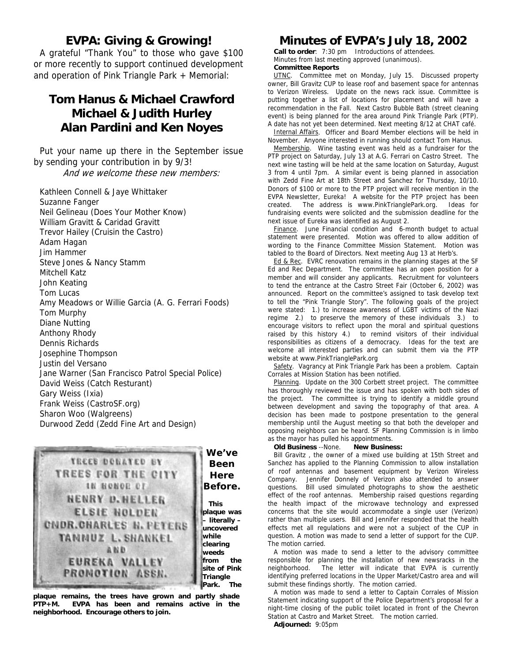#### **EVPA: Giving & Growing!**

A grateful "Thank You" to those who gave \$100 or more recently to support continued development and operation of Pink Triangle Park + Memorial:

#### **Tom Hanus & Michael Crawford Michael & Judith Hurley Alan Pardini and Ken Noyes**

Put your name up there in the September issue by sending your contribution in by 9/3! And we welcome these new members:

Kathleen Connell & Jaye Whittaker Suzanne Fanger Neil Gelineau (Does Your Mother Know) William Gravitt & Caridad Gravitt Trevor Hailey (Cruisin the Castro) Adam Hagan Jim Hammer Steve Jones & Nancy Stamm Mitchell Katz John Keating Tom Lucas Amy Meadows or Willie Garcia (A. G. Ferrari Foods) Tom Murphy Diane Nutting Anthony Rhody Dennis Richards Josephine Thompson Justin del Versano Jane Warner (San Francisco Patrol Special Police) David Weiss (Catch Resturant) Gary Weiss (Ixia) Frank Weiss (CastroSF.org) Sharon Woo (Walgreens) Durwood Zedd (Zedd Fine Art and Design)



**plaque remains, the trees have grown and partly shade PTP+M. EVPA has been and remains active in the neighborhood. Encourage others to join.**

#### **Minutes of EVPA's July 18, 2002**

**Call to order**: 7:30 pm Introductions of attendees. Minutes from last meeting approved (unanimous). **Committee Reports** 

UTNC. Committee met on Monday, July 15. Discussed property owner, Bill Gravitz CUP to lease roof and basement space for antennas to Verizon Wireless. Update on the news rack issue. Committee is putting together a list of locations for placement and will have a recommendation in the Fall. Next Castro Bubble Bath (street cleaning event) is being planned for the area around Pink Triangle Park (PTP). A date has not yet been determined. Next meeting 8/12 at CHAT café.

Internal Affairs. Officer and Board Member elections will be held in November. Anyone interested in running should contact Tom Hanus.

Membership. Wine tasting event was held as a fundraiser for the PTP project on Saturday, July 13 at A.G. Ferrari on Castro Street. The next wine tasting will be held at the same location on Saturday, August 3 from 4 until 7pm. A similar event is being planned in association with Zedd Fine Art at 18th Street and Sanchez for Thursday, 10/10. Donors of \$100 or more to the PTP project will receive mention in the EVPA Newsletter, Eureka! A website for the PTP project has been created. The address is www.PinkTrianglePark.org. Ideas for fundraising events were solicited and the submission deadline for the next issue of Eureka was identified as August 2.

Finance. June Financial condition and 6-month budget to actual statement were presented. Motion was offered to allow addition of wording to the Finance Committee Mission Statement. Motion was tabled to the Board of Directors. Next meeting Aug 13 at Herb's.

Ed & Rec. EVRC renovation remains in the planning stages at the SF Ed and Rec Department. The committee has an open position for a member and will consider any applicants. Recruitment for volunteers to tend the entrance at the Castro Street Fair (October 6, 2002) was announced. Report on the committee's assigned to task develop text to tell the "Pink Triangle Story". The following goals of the project were stated: 1.) to increase awareness of LGBT victims of the Nazi regime 2.) to preserve the memory of these individuals 3.) to encourage visitors to reflect upon the moral and spiritual questions raised by this history 4.) to remind visitors of their individual responsibilities as citizens of a democracy. Ideas for the text are welcome all interested parties and can submit them via the PTP website at www.PinkTrianglePark.org

Safety. Vagrancy at Pink Triangle Park has been a problem. Captain Corrales at Mission Station has been notified.

Planning. Update on the 300 Corbett street project. The committee has thoroughly reviewed the issue and has spoken with both sides of the project. The committee is trying to identify a middle ground between development and saving the topography of that area. A decision has been made to postpone presentation to the general membership until the August meeting so that both the developer and opposing neighbors can be heard. SF Planning Commission is in limbo as the mayor has pulled his appointments.

**Old Business** --None. **New Business:**

Bill Gravitz , the owner of a mixed use building at 15th Street and Sanchez has applied to the Planning Commission to allow installation of roof antennas and basement equipment by Verizon Wireless Company. Jennifer Donnely of Verizon also attended to answer questions. Bill used simulated photographs to show the aesthetic effect of the roof antennas. Membership raised questions regarding the health impact of the microwave technology and expressed concerns that the site would accommodate a single user (Verizon) rather than multiple users. Bill and Jennifer responded that the health effects met all regulations and were not a subject of the CUP in question. A motion was made to send a letter of support for the CUP. The motion carried.

A motion was made to send a letter to the advisory committee responsible for planning the installation of new newsracks in the neighborhood. The letter will indicate that EVPA is currently identifying preferred locations in the Upper Market/Castro area and will submit these findings shortly. The motion carried.

A motion was made to send a letter to Captain Corrales of Mission Statement indicating support of the Police Department's proposal for a night-time closing of the public toilet located in front of the Chevron Station at Castro and Market Street. The motion carried.

**Adjourned:** 9:05pm